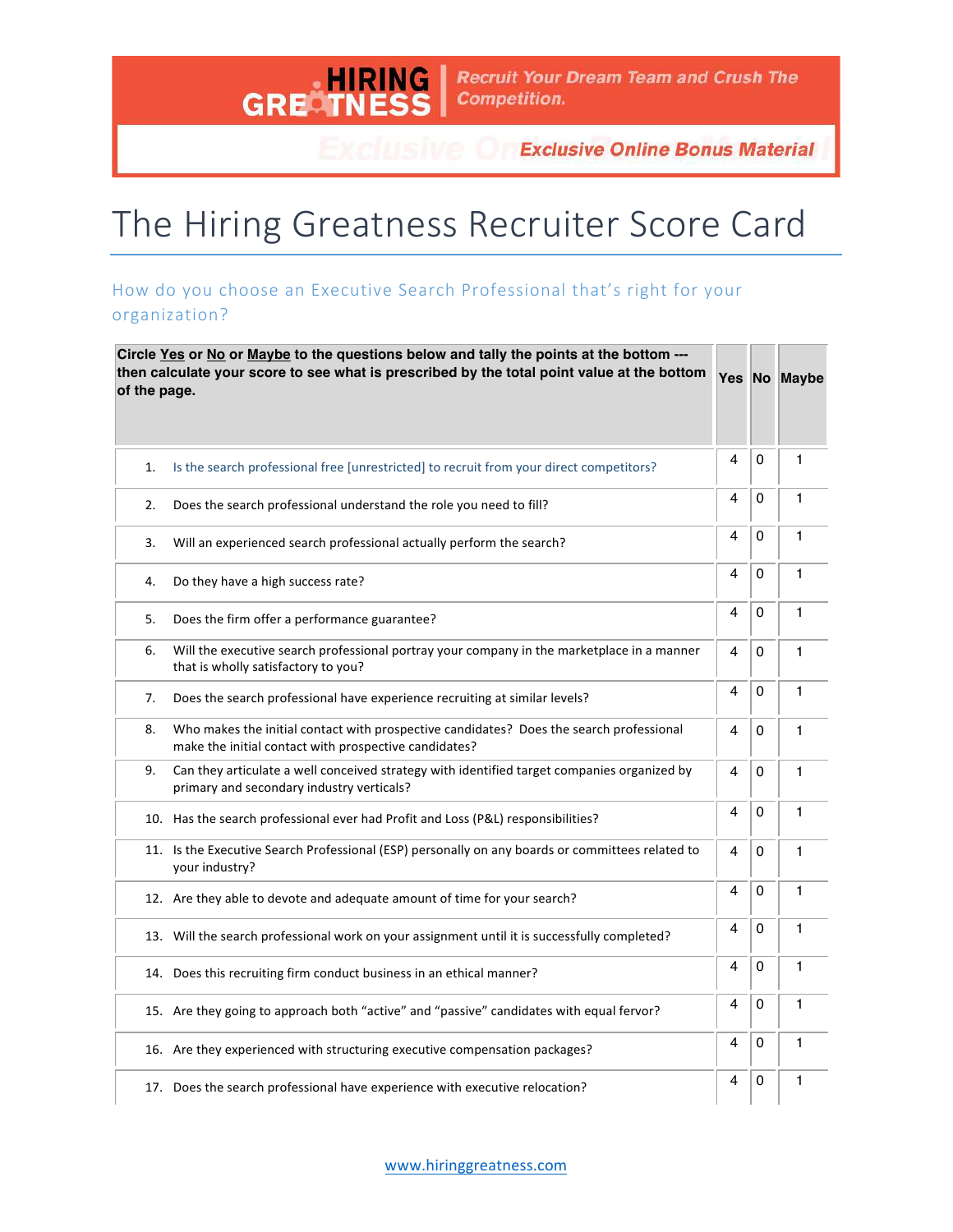<u>, HII</u> RING **GREAT** 

**Exclusive Online Bonus Material** 

## The Hiring Greatness Recruiter Score Card

## How do you choose an Executive Search Professional that's right for your organization?

| Circle Yes or No or Maybe to the questions below and tally the points at the bottom ---<br>then calculate your score to see what is prescribed by the total point value at the bottom<br>of the page. |                                                                                                                                                  |   | Yes No Maybe |              |
|-------------------------------------------------------------------------------------------------------------------------------------------------------------------------------------------------------|--------------------------------------------------------------------------------------------------------------------------------------------------|---|--------------|--------------|
| 1.                                                                                                                                                                                                    | Is the search professional free [unrestricted] to recruit from your direct competitors?                                                          | 4 | 0            | $\mathbf{1}$ |
| 2.                                                                                                                                                                                                    | Does the search professional understand the role you need to fill?                                                                               | 4 | 0            | 1            |
| 3.                                                                                                                                                                                                    | Will an experienced search professional actually perform the search?                                                                             | 4 | 0            | 1            |
| 4.                                                                                                                                                                                                    | Do they have a high success rate?                                                                                                                | 4 | 0            | 1            |
| 5.                                                                                                                                                                                                    | Does the firm offer a performance guarantee?                                                                                                     | 4 | 0            | 1            |
| 6.                                                                                                                                                                                                    | Will the executive search professional portray your company in the marketplace in a manner<br>that is wholly satisfactory to you?                | 4 | 0            | $\mathbf{1}$ |
| 7.                                                                                                                                                                                                    | Does the search professional have experience recruiting at similar levels?                                                                       | 4 | 0            | $\mathbf{1}$ |
| 8.                                                                                                                                                                                                    | Who makes the initial contact with prospective candidates? Does the search professional<br>make the initial contact with prospective candidates? | 4 | 0            | 1            |
| 9.                                                                                                                                                                                                    | Can they articulate a well conceived strategy with identified target companies organized by<br>primary and secondary industry verticals?         | 4 | 0            | $\mathbf{1}$ |
|                                                                                                                                                                                                       | 10. Has the search professional ever had Profit and Loss (P&L) responsibilities?                                                                 | 4 | 0            | 1            |
|                                                                                                                                                                                                       | 11. Is the Executive Search Professional (ESP) personally on any boards or committees related to<br>your industry?                               | 4 | 0            | 1            |
|                                                                                                                                                                                                       | 12. Are they able to devote and adequate amount of time for your search?                                                                         | 4 | 0            | $\mathbf{1}$ |
|                                                                                                                                                                                                       | 13. Will the search professional work on your assignment until it is successfully completed?                                                     | 4 | 0            | 1            |
|                                                                                                                                                                                                       | 14. Does this recruiting firm conduct business in an ethical manner?                                                                             | 4 | 0            | 1            |
|                                                                                                                                                                                                       | 15. Are they going to approach both "active" and "passive" candidates with equal fervor?                                                         | 4 | 0            | 1            |
|                                                                                                                                                                                                       | 16. Are they experienced with structuring executive compensation packages?                                                                       | 4 | 0            | 1            |
|                                                                                                                                                                                                       | 17. Does the search professional have experience with executive relocation?                                                                      | 4 | 0            | $\mathbf{1}$ |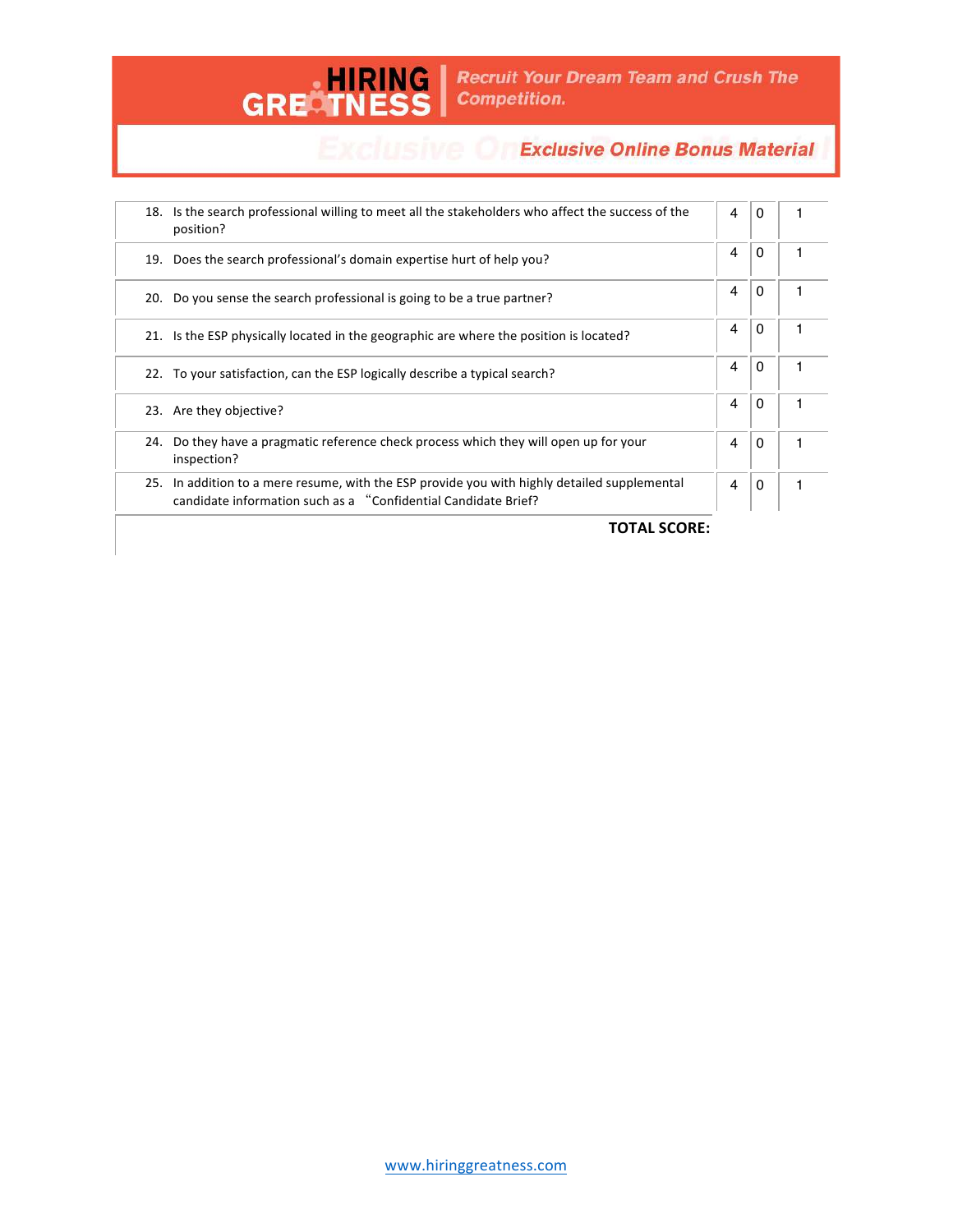

## **Exclusive Or Exclusive Online Bonus Material**

|     | 18. Is the search professional willing to meet all the stakeholders who affect the success of the<br>position?                                                 | 4 | 0 |  |
|-----|----------------------------------------------------------------------------------------------------------------------------------------------------------------|---|---|--|
|     | 19. Does the search professional's domain expertise hurt of help you?                                                                                          | 4 | 0 |  |
|     | 20. Do you sense the search professional is going to be a true partner?                                                                                        | 4 | 0 |  |
| 21. | Is the ESP physically located in the geographic are where the position is located?                                                                             | 4 | 0 |  |
|     | 22. To your satisfaction, can the ESP logically describe a typical search?                                                                                     | 4 | 0 |  |
|     | 23. Are they objective?                                                                                                                                        | 4 | 0 |  |
| 24. | Do they have a pragmatic reference check process which they will open up for your<br>inspection?                                                               | 4 | 0 |  |
|     | 25. In addition to a mere resume, with the ESP provide you with highly detailed supplemental<br>candidate information such as a "Confidential Candidate Brief? | 4 | 0 |  |
|     |                                                                                                                                                                |   |   |  |

**TOTAL SCORE:**